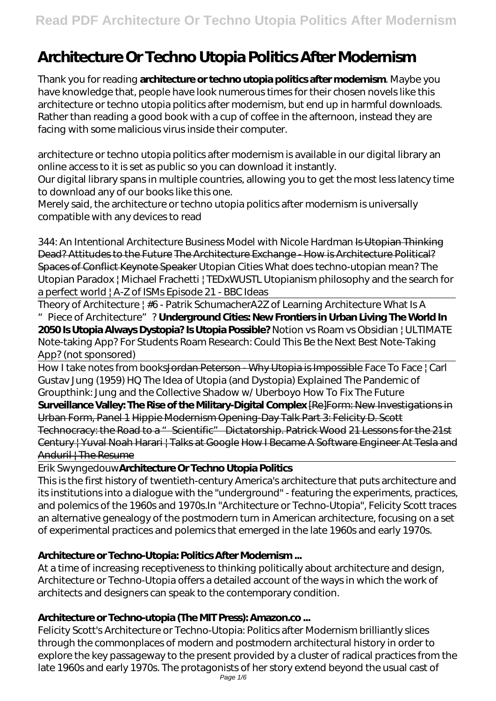# **Architecture Or Techno Utopia Politics After Modernism**

Thank you for reading **architecture or techno utopia politics after modernism**. Maybe you have knowledge that, people have look numerous times for their chosen novels like this architecture or techno utopia politics after modernism, but end up in harmful downloads. Rather than reading a good book with a cup of coffee in the afternoon, instead they are facing with some malicious virus inside their computer.

architecture or techno utopia politics after modernism is available in our digital library an online access to it is set as public so you can download it instantly.

Our digital library spans in multiple countries, allowing you to get the most less latency time to download any of our books like this one.

Merely said, the architecture or techno utopia politics after modernism is universally compatible with any devices to read

*344: An Intentional Architecture Business Model with Nicole Hardman* Is Utopian Thinking Dead? Attitudes to the Future The Architecture Exchange - How is Architecture Political? Spaces of Conflict Keynote Speaker Utopian Cities *What does techno-utopian mean? The Utopian Paradox | Michael Frachetti | TEDxWUSTL Utopianism philosophy and the search for a perfect world | A-Z of ISMs Episode 21 - BBC Ideas*

Theory of Architecture | #6 - Patrik Schumacher*A2Z of Learning Architecture* What Is A "Piece of Architecture"? **Underground Cities: New Frontiers in Urban Living The World In 2050 Is Utopia Always Dystopia? Is Utopia Possible?** Notion vs Roam vs Obsidian | ULTIMATE Note-taking App? For Students Roam Research: Could This Be the Next Best Note-Taking App? (not sponsored)

How I take notes from booksJordan Peterson - Why Utopia is Impossible *Face To Face | Carl Gustav Jung (1959) HQ* The Idea of Utopia (and Dystopia) Explained The Pandemic of Groupthink: Jung and the Collective Shadow w/ Uberboyo *How To Fix The Future* **Surveillance Valley: The Rise of the Military-Digital Complex** [Re]Form: New Investigations in

Urban Form, Panel 1 Hippie Modernism Opening-Day Talk Part 3: Felicity D. Scott Technocracy: the Road to a " Scientific" Dictatorship. Patrick Wood 21 Lessons for the 21st Century | Yuval Noah Harari | Talks at Google How I Became A Software Engineer At Tesla and Anduril | The Resume

## Erik Swyngedouw**Architecture Or Techno Utopia Politics**

This is the first history of twentieth-century America's architecture that puts architecture and its institutions into a dialogue with the "underground" - featuring the experiments, practices, and polemics of the 1960s and 1970s.In "Architecture or Techno-Utopia", Felicity Scott traces an alternative genealogy of the postmodern turn in American architecture, focusing on a set of experimental practices and polemics that emerged in the late 1960s and early 1970s.

## **Architecture or Techno-Utopia: Politics After Modernism ...**

At a time of increasing receptiveness to thinking politically about architecture and design, Architecture or Techno-Utopia offers a detailed account of the ways in which the work of architects and designers can speak to the contemporary condition.

## **Architecture or Techno-utopia (The MIT Press): Amazon.co ...**

Felicity Scott's Architecture or Techno-Utopia: Politics after Modernism brilliantly slices through the commonplaces of modern and postmodern architectural history in order to explore the key passageway to the present provided by a cluster of radical practices from the late 1960s and early 1970s. The protagonists of her story extend beyond the usual cast of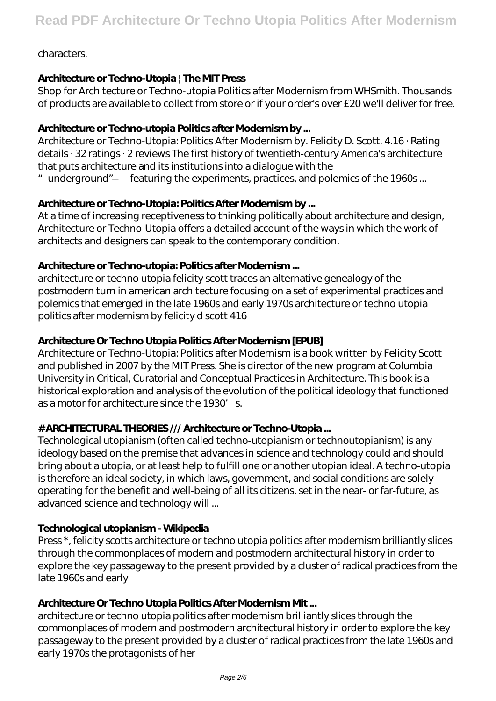## characters.

## **Architecture or Techno-Utopia | The MIT Press**

Shop for Architecture or Techno-utopia Politics after Modernism from WHSmith. Thousands of products are available to collect from store or if your order's over £20 we'll deliver for free.

## **Architecture or Techno-utopia Politics after Modernism by ...**

Architecture or Techno-Utopia: Politics After Modernism by. Felicity D. Scott. 4.16 · Rating details · 32 ratings · 2 reviews The first history of twentieth-century America's architecture that puts architecture and its institutions into a dialogue with the

"underground"—featuring the experiments, practices, and polemics of the 1960s ...

## **Architecture or Techno-Utopia: Politics After Modernism by ...**

At a time of increasing receptiveness to thinking politically about architecture and design, Architecture or Techno-Utopia offers a detailed account of the ways in which the work of architects and designers can speak to the contemporary condition.

## **Architecture or Techno-utopia: Politics after Modernism ...**

architecture or techno utopia felicity scott traces an alternative genealogy of the postmodern turn in american architecture focusing on a set of experimental practices and polemics that emerged in the late 1960s and early 1970s architecture or techno utopia politics after modernism by felicity d scott 416

## **Architecture Or Techno Utopia Politics After Modernism [EPUB]**

Architecture or Techno-Utopia: Politics after Modernism is a book written by Felicity Scott and published in 2007 by the MIT Press. She is director of the new program at Columbia University in Critical, Curatorial and Conceptual Practices in Architecture. This book is a historical exploration and analysis of the evolution of the political ideology that functioned as a motor for architecture since the  $1930^\circ$  s.

## **# ARCHITECTURAL THEORIES /// Architecture or Techno-Utopia ...**

Technological utopianism (often called techno-utopianism or technoutopianism) is any ideology based on the premise that advances in science and technology could and should bring about a utopia, or at least help to fulfill one or another utopian ideal. A techno-utopia is therefore an ideal society, in which laws, government, and social conditions are solely operating for the benefit and well-being of all its citizens, set in the near- or far-future, as advanced science and technology will ...

## **Technological utopianism - Wikipedia**

Press \*, felicity scotts architecture or techno utopia politics after modernism brilliantly slices through the commonplaces of modern and postmodern architectural history in order to explore the key passageway to the present provided by a cluster of radical practices from the late 1960s and early

## **Architecture Or Techno Utopia Politics After Modernism Mit ...**

architecture or techno utopia politics after modernism brilliantly slices through the commonplaces of modern and postmodern architectural history in order to explore the key passageway to the present provided by a cluster of radical practices from the late 1960s and early 1970s the protagonists of her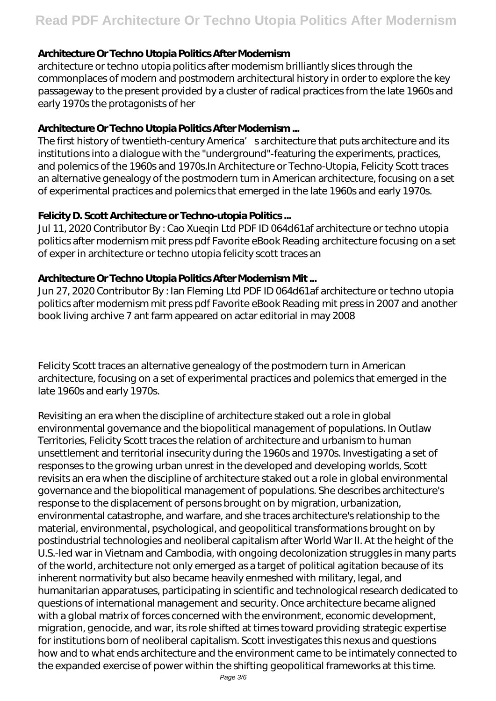## **Architecture Or Techno Utopia Politics After Modernism**

architecture or techno utopia politics after modernism brilliantly slices through the commonplaces of modern and postmodern architectural history in order to explore the key passageway to the present provided by a cluster of radical practices from the late 1960s and early 1970s the protagonists of her

## **Architecture Or Techno Utopia Politics After Modernism ...**

The first history of twentieth-century America' sarchitecture that puts architecture and its institutions into a dialogue with the "underground"-featuring the experiments, practices, and polemics of the 1960s and 1970s.In Architecture or Techno-Utopia, Felicity Scott traces an alternative genealogy of the postmodern turn in American architecture, focusing on a set of experimental practices and polemics that emerged in the late 1960s and early 1970s.

## **Felicity D. Scott Architecture or Techno-utopia Politics ...**

Jul 11, 2020 Contributor By : Cao Xueqin Ltd PDF ID 064d61af architecture or techno utopia politics after modernism mit press pdf Favorite eBook Reading architecture focusing on a set of exper in architecture or techno utopia felicity scott traces an

#### **Architecture Or Techno Utopia Politics After Modernism Mit ...**

Jun 27, 2020 Contributor By : Ian Fleming Ltd PDF ID 064d61af architecture or techno utopia politics after modernism mit press pdf Favorite eBook Reading mit press in 2007 and another book living archive 7 ant farm appeared on actar editorial in may 2008

Felicity Scott traces an alternative genealogy of the postmodern turn in American architecture, focusing on a set of experimental practices and polemics that emerged in the late 1960s and early 1970s.

Revisiting an era when the discipline of architecture staked out a role in global environmental governance and the biopolitical management of populations. In Outlaw Territories, Felicity Scott traces the relation of architecture and urbanism to human unsettlement and territorial insecurity during the 1960s and 1970s. Investigating a set of responses to the growing urban unrest in the developed and developing worlds, Scott revisits an era when the discipline of architecture staked out a role in global environmental governance and the biopolitical management of populations. She describes architecture's response to the displacement of persons brought on by migration, urbanization, environmental catastrophe, and warfare, and she traces architecture's relationship to the material, environmental, psychological, and geopolitical transformations brought on by postindustrial technologies and neoliberal capitalism after World War II. At the height of the U.S.-led war in Vietnam and Cambodia, with ongoing decolonization struggles in many parts of the world, architecture not only emerged as a target of political agitation because of its inherent normativity but also became heavily enmeshed with military, legal, and humanitarian apparatuses, participating in scientific and technological research dedicated to questions of international management and security. Once architecture became aligned with a global matrix of forces concerned with the environment, economic development, migration, genocide, and war, its role shifted at times toward providing strategic expertise for institutions born of neoliberal capitalism. Scott investigates this nexus and questions how and to what ends architecture and the environment came to be intimately connected to the expanded exercise of power within the shifting geopolitical frameworks at this time.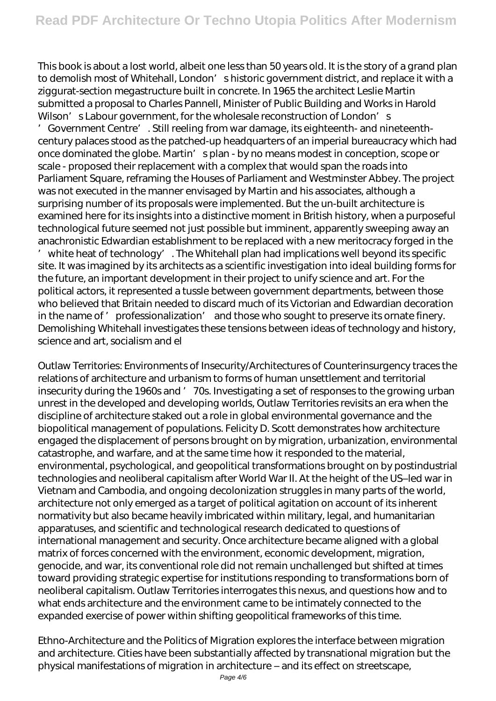This book is about a lost world, albeit one less than 50 years old. It is the story of a grand plan to demolish most of Whitehall, London' shistoric government district, and replace it with a ziggurat-section megastructure built in concrete. In 1965 the architect Leslie Martin submitted a proposal to Charles Pannell, Minister of Public Building and Works in Harold Wilson' s Labour government, for the wholesale reconstruction of London's

'Government Centre'. Still reeling from war damage, its eighteenth- and nineteenthcentury palaces stood as the patched-up headquarters of an imperial bureaucracy which had once dominated the globe. Martin' splan - by no means modest in conception, scope or scale - proposed their replacement with a complex that would span the roads into Parliament Square, reframing the Houses of Parliament and Westminster Abbey. The project was not executed in the manner envisaged by Martin and his associates, although a surprising number of its proposals were implemented. But the un-built architecture is examined here for its insights into a distinctive moment in British history, when a purposeful technological future seemed not just possible but imminent, apparently sweeping away an anachronistic Edwardian establishment to be replaced with a new meritocracy forged in the white heat of technology'. The Whitehall plan had implications well beyond its specific site. It was imagined by its architects as a scientific investigation into ideal building forms for the future, an important development in their project to unify science and art. For the political actors, it represented a tussle between government departments, between those who believed that Britain needed to discard much of its Victorian and Edwardian decoration in the name of 'professionalization' and those who sought to preserve its ornate finery. Demolishing Whitehall investigates these tensions between ideas of technology and history, science and art, socialism and el

Outlaw Territories: Environments of Insecurity/Architectures of Counterinsurgency traces the relations of architecture and urbanism to forms of human unsettlement and territorial insecurity during the 1960s and '70s. Investigating a set of responses to the growing urban unrest in the developed and developing worlds, Outlaw Territories revisits an era when the discipline of architecture staked out a role in global environmental governance and the biopolitical management of populations. Felicity D. Scott demonstrates how architecture engaged the displacement of persons brought on by migration, urbanization, environmental catastrophe, and warfare, and at the same time how it responded to the material, environmental, psychological, and geopolitical transformations brought on by postindustrial technologies and neoliberal capitalism after World War II. At the height of the US–led war in Vietnam and Cambodia, and ongoing decolonization struggles in many parts of the world, architecture not only emerged as a target of political agitation on account of its inherent normativity but also became heavily imbricated within military, legal, and humanitarian apparatuses, and scientific and technological research dedicated to questions of international management and security. Once architecture became aligned with a global matrix of forces concerned with the environment, economic development, migration, genocide, and war, its conventional role did not remain unchallenged but shifted at times toward providing strategic expertise for institutions responding to transformations born of neoliberal capitalism. Outlaw Territories interrogates this nexus, and questions how and to what ends architecture and the environment came to be intimately connected to the expanded exercise of power within shifting geopolitical frameworks of this time.

Ethno-Architecture and the Politics of Migration explores the interface between migration and architecture. Cities have been substantially affected by transnational migration but the physical manifestations of migration in architecture – and its effect on streetscape,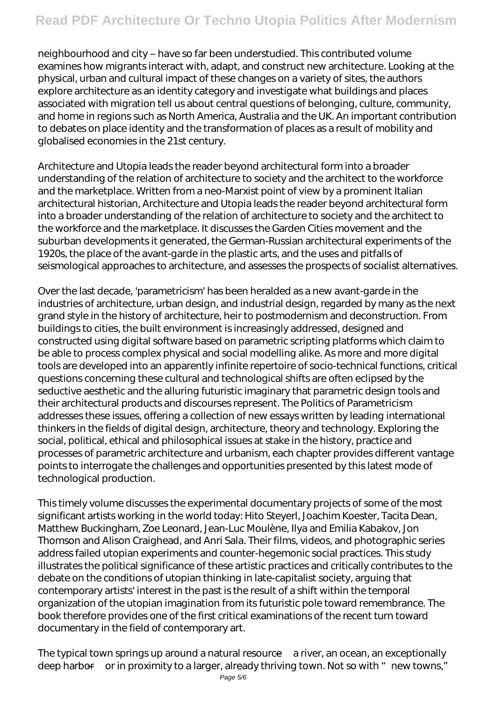neighbourhood and city – have so far been understudied. This contributed volume examines how migrants interact with, adapt, and construct new architecture. Looking at the physical, urban and cultural impact of these changes on a variety of sites, the authors explore architecture as an identity category and investigate what buildings and places associated with migration tell us about central questions of belonging, culture, community, and home in regions such as North America, Australia and the UK. An important contribution to debates on place identity and the transformation of places as a result of mobility and globalised economies in the 21st century.

Architecture and Utopia leads the reader beyond architectural form into a broader understanding of the relation of architecture to society and the architect to the workforce and the marketplace. Written from a neo-Marxist point of view by a prominent Italian architectural historian, Architecture and Utopia leads the reader beyond architectural form into a broader understanding of the relation of architecture to society and the architect to the workforce and the marketplace. It discusses the Garden Cities movement and the suburban developments it generated, the German-Russian architectural experiments of the 1920s, the place of the avant-garde in the plastic arts, and the uses and pitfalls of seismological approaches to architecture, and assesses the prospects of socialist alternatives.

Over the last decade, 'parametricism' has been heralded as a new avant-garde in the industries of architecture, urban design, and industrial design, regarded by many as the next grand style in the history of architecture, heir to postmodernism and deconstruction. From buildings to cities, the built environment is increasingly addressed, designed and constructed using digital software based on parametric scripting platforms which claim to be able to process complex physical and social modelling alike. As more and more digital tools are developed into an apparently infinite repertoire of socio-technical functions, critical questions concerning these cultural and technological shifts are often eclipsed by the seductive aesthetic and the alluring futuristic imaginary that parametric design tools and their architectural products and discourses represent. The Politics of Parametricism addresses these issues, offering a collection of new essays written by leading international thinkers in the fields of digital design, architecture, theory and technology. Exploring the social, political, ethical and philosophical issues at stake in the history, practice and processes of parametric architecture and urbanism, each chapter provides different vantage points to interrogate the challenges and opportunities presented by this latest mode of technological production.

This timely volume discusses the experimental documentary projects of some of the most significant artists working in the world today: Hito Steyerl, Joachim Koester, Tacita Dean, Matthew Buckingham, Zoe Leonard, Jean-Luc Moulène, Ilya and Emilia Kabakov, Jon Thomson and Alison Craighead, and Anri Sala. Their films, videos, and photographic series address failed utopian experiments and counter-hegemonic social practices. This study illustrates the political significance of these artistic practices and critically contributes to the debate on the conditions of utopian thinking in late-capitalist society, arguing that contemporary artists' interest in the past is the result of a shift within the temporal organization of the utopian imagination from its futuristic pole toward remembrance. The book therefore provides one of the first critical examinations of the recent turn toward documentary in the field of contemporary art.

The typical town springs up around a natural resource—a river, an ocean, an exceptionally deep harbor—or in proximity to a larger, already thriving town. Not so with "new towns,"